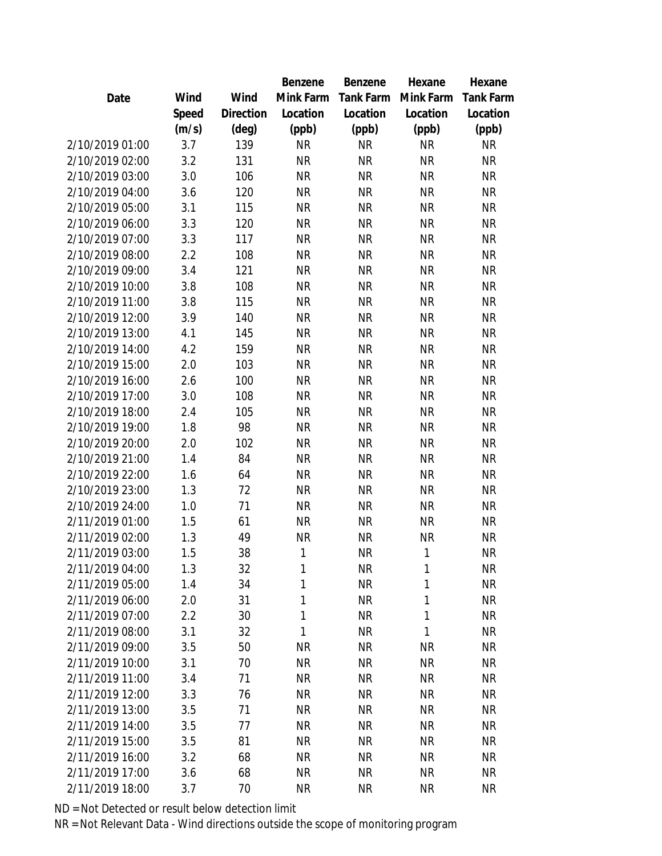|                 |       |                | Benzene      | Benzene   | Hexane    | Hexane    |
|-----------------|-------|----------------|--------------|-----------|-----------|-----------|
| Date            | Wind  | Wind           | Mink Farm    | Tank Farm | Mink Farm | Tank Farm |
|                 | Speed | Direction      | Location     | Location  | Location  | Location  |
|                 | (m/s) | $(\text{deg})$ | (ppb)        | (ppb)     | (ppb)     | (ppb)     |
| 2/10/2019 01:00 | 3.7   | 139            | <b>NR</b>    | <b>NR</b> | <b>NR</b> | <b>NR</b> |
| 2/10/2019 02:00 | 3.2   | 131            | <b>NR</b>    | <b>NR</b> | <b>NR</b> | <b>NR</b> |
| 2/10/2019 03:00 | 3.0   | 106            | <b>NR</b>    | <b>NR</b> | <b>NR</b> | <b>NR</b> |
| 2/10/2019 04:00 | 3.6   | 120            | <b>NR</b>    | <b>NR</b> | <b>NR</b> | <b>NR</b> |
| 2/10/2019 05:00 | 3.1   | 115            | <b>NR</b>    | <b>NR</b> | <b>NR</b> | <b>NR</b> |
| 2/10/2019 06:00 | 3.3   | 120            | <b>NR</b>    | <b>NR</b> | <b>NR</b> | <b>NR</b> |
| 2/10/2019 07:00 | 3.3   | 117            | <b>NR</b>    | <b>NR</b> | <b>NR</b> | <b>NR</b> |
| 2/10/2019 08:00 | 2.2   | 108            | <b>NR</b>    | <b>NR</b> | <b>NR</b> | <b>NR</b> |
| 2/10/2019 09:00 | 3.4   | 121            | <b>NR</b>    | <b>NR</b> | <b>NR</b> | <b>NR</b> |
| 2/10/2019 10:00 | 3.8   | 108            | <b>NR</b>    | <b>NR</b> | <b>NR</b> | <b>NR</b> |
| 2/10/2019 11:00 | 3.8   | 115            | <b>NR</b>    | <b>NR</b> | <b>NR</b> | <b>NR</b> |
| 2/10/2019 12:00 | 3.9   | 140            | <b>NR</b>    | <b>NR</b> | <b>NR</b> | <b>NR</b> |
| 2/10/2019 13:00 | 4.1   | 145            | <b>NR</b>    | <b>NR</b> | <b>NR</b> | <b>NR</b> |
| 2/10/2019 14:00 | 4.2   | 159            | <b>NR</b>    | <b>NR</b> | <b>NR</b> | <b>NR</b> |
| 2/10/2019 15:00 | 2.0   | 103            | <b>NR</b>    | NR        | <b>NR</b> | <b>NR</b> |
| 2/10/2019 16:00 | 2.6   | 100            | <b>NR</b>    | <b>NR</b> | <b>NR</b> | <b>NR</b> |
| 2/10/2019 17:00 | 3.0   | 108            | <b>NR</b>    | <b>NR</b> | <b>NR</b> | <b>NR</b> |
| 2/10/2019 18:00 | 2.4   | 105            | <b>NR</b>    | <b>NR</b> | <b>NR</b> | <b>NR</b> |
| 2/10/2019 19:00 | 1.8   | 98             | <b>NR</b>    | <b>NR</b> | <b>NR</b> | <b>NR</b> |
| 2/10/2019 20:00 | 2.0   | 102            | <b>NR</b>    | <b>NR</b> | <b>NR</b> | <b>NR</b> |
| 2/10/2019 21:00 | 1.4   | 84             | <b>NR</b>    | <b>NR</b> | <b>NR</b> | <b>NR</b> |
| 2/10/2019 22:00 | 1.6   | 64             | <b>NR</b>    | <b>NR</b> | <b>NR</b> | <b>NR</b> |
| 2/10/2019 23:00 | 1.3   | 72             | <b>NR</b>    | <b>NR</b> | <b>NR</b> | <b>NR</b> |
| 2/10/2019 24:00 | 1.0   | 71             | <b>NR</b>    | <b>NR</b> | <b>NR</b> | <b>NR</b> |
| 2/11/2019 01:00 | 1.5   | 61             | <b>NR</b>    | <b>NR</b> | <b>NR</b> | <b>NR</b> |
| 2/11/2019 02:00 | 1.3   | 49             | <b>NR</b>    | <b>NR</b> | ΝR        | NR        |
| 2/11/2019 03:00 | 1.5   | 38             | 1            | <b>NR</b> | 1         | <b>NR</b> |
| 2/11/2019 04:00 | 1.3   | 32             | 1            | <b>NR</b> | 1         | <b>NR</b> |
| 2/11/2019 05:00 | 1.4   | 34             | 1            | <b>NR</b> | 1         | <b>NR</b> |
| 2/11/2019 06:00 | 2.0   | 31             | 1            | <b>NR</b> | 1         | <b>NR</b> |
| 2/11/2019 07:00 | 2.2   | 30             | $\mathbf{1}$ | <b>NR</b> | 1         | <b>NR</b> |
| 2/11/2019 08:00 | 3.1   | 32             | 1            | <b>NR</b> | 1         | <b>NR</b> |
| 2/11/2019 09:00 | 3.5   | 50             | <b>NR</b>    | NR        | <b>NR</b> | NR        |
| 2/11/2019 10:00 | 3.1   | 70             | <b>NR</b>    | <b>NR</b> | <b>NR</b> | NR        |
| 2/11/2019 11:00 | 3.4   | 71             | <b>NR</b>    | <b>NR</b> | <b>NR</b> | NR        |
| 2/11/2019 12:00 | 3.3   | 76             | <b>NR</b>    | <b>NR</b> | <b>NR</b> | <b>NR</b> |
| 2/11/2019 13:00 | 3.5   | 71             | <b>NR</b>    | <b>NR</b> | <b>NR</b> | <b>NR</b> |
| 2/11/2019 14:00 | 3.5   | 77             | <b>NR</b>    | <b>NR</b> | <b>NR</b> | NR        |
| 2/11/2019 15:00 | 3.5   | 81             | <b>NR</b>    | <b>NR</b> | <b>NR</b> | NR        |
| 2/11/2019 16:00 | 3.2   | 68             | <b>NR</b>    | NR        | NR        | NR        |
| 2/11/2019 17:00 | 3.6   | 68             | <b>NR</b>    | <b>NR</b> | NR        | NR        |
| 2/11/2019 18:00 | 3.7   | 70             | <b>NR</b>    | <b>NR</b> | <b>NR</b> | <b>NR</b> |
|                 |       |                |              |           |           |           |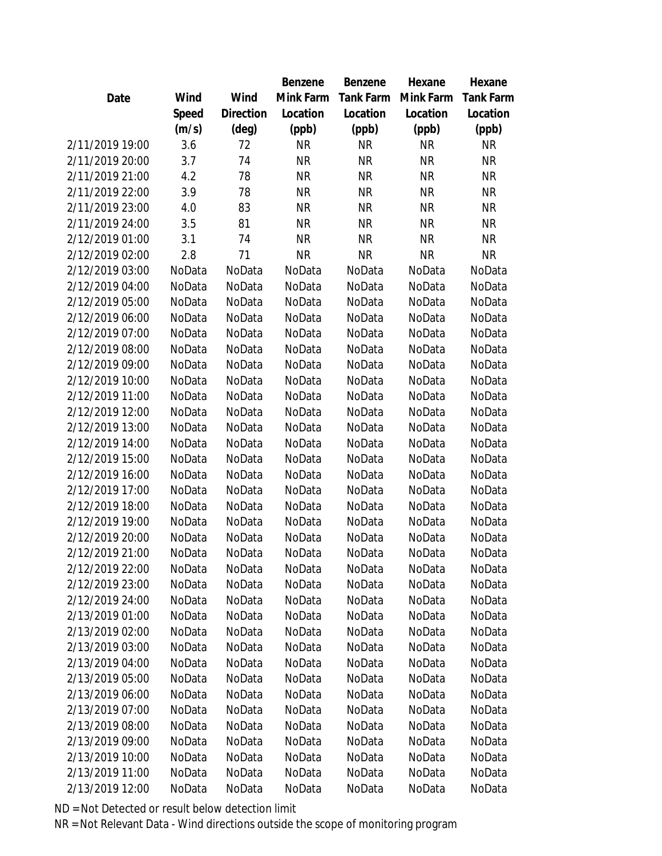|                 |        |                | Benzene   | Benzene   | Hexane    | Hexane    |
|-----------------|--------|----------------|-----------|-----------|-----------|-----------|
| Date            | Wind   | Wind           | Mink Farm | Tank Farm | Mink Farm | Tank Farm |
|                 | Speed  | Direction      | Location  | Location  | Location  | Location  |
|                 | (m/s)  | $(\text{deg})$ | (ppb)     | (ppb)     | (ppb)     | (ppb)     |
| 2/11/2019 19:00 | 3.6    | 72             | <b>NR</b> | <b>NR</b> | <b>NR</b> | <b>NR</b> |
| 2/11/2019 20:00 | 3.7    | 74             | <b>NR</b> | <b>NR</b> | <b>NR</b> | <b>NR</b> |
| 2/11/2019 21:00 | 4.2    | 78             | <b>NR</b> | <b>NR</b> | <b>NR</b> | <b>NR</b> |
| 2/11/2019 22:00 | 3.9    | 78             | <b>NR</b> | <b>NR</b> | <b>NR</b> | <b>NR</b> |
| 2/11/2019 23:00 | 4.0    | 83             | <b>NR</b> | <b>NR</b> | <b>NR</b> | <b>NR</b> |
| 2/11/2019 24:00 | 3.5    | 81             | <b>NR</b> | <b>NR</b> | <b>NR</b> | <b>NR</b> |
| 2/12/2019 01:00 | 3.1    | 74             | <b>NR</b> | <b>NR</b> | <b>NR</b> | <b>NR</b> |
| 2/12/2019 02:00 | 2.8    | 71             | <b>NR</b> | <b>NR</b> | <b>NR</b> | <b>NR</b> |
| 2/12/2019 03:00 | NoData | NoData         | NoData    | NoData    | NoData    | NoData    |
| 2/12/2019 04:00 | NoData | NoData         | NoData    | NoData    | NoData    | NoData    |
| 2/12/2019 05:00 | NoData | NoData         | NoData    | NoData    | NoData    | NoData    |
| 2/12/2019 06:00 | NoData | NoData         | NoData    | NoData    | NoData    | NoData    |
| 2/12/2019 07:00 | NoData | NoData         | NoData    | NoData    | NoData    | NoData    |
| 2/12/2019 08:00 | NoData | NoData         | NoData    | NoData    | NoData    | NoData    |
| 2/12/2019 09:00 | NoData | NoData         | NoData    | NoData    | NoData    | NoData    |
| 2/12/2019 10:00 | NoData | NoData         | NoData    | NoData    | NoData    | NoData    |
| 2/12/2019 11:00 | NoData | NoData         | NoData    | NoData    | NoData    | NoData    |
| 2/12/2019 12:00 | NoData | NoData         | NoData    | NoData    | NoData    | NoData    |
| 2/12/2019 13:00 | NoData | NoData         | NoData    | NoData    | NoData    | NoData    |
| 2/12/2019 14:00 | NoData | NoData         | NoData    | NoData    | NoData    | NoData    |
| 2/12/2019 15:00 | NoData | NoData         | NoData    | NoData    | NoData    | NoData    |
| 2/12/2019 16:00 | NoData | NoData         | NoData    | NoData    | NoData    | NoData    |
| 2/12/2019 17:00 | NoData | NoData         | NoData    | NoData    | NoData    | NoData    |
| 2/12/2019 18:00 | NoData | NoData         | NoData    | NoData    | NoData    | NoData    |
| 2/12/2019 19:00 | NoData | NoData         | NoData    | NoData    | NoData    | NoData    |
| 2/12/2019 20:00 | NoData | NoData         | NoData    | NoData    | NoData    | NoData    |
| 2/12/2019 21:00 | NoData | NoData         | NoData    | NoData    | NoData    | NoData    |
| 2/12/2019 22:00 | NoData | NoData         | NoData    | NoData    | NoData    | NoData    |
| 2/12/2019 23:00 | NoData | NoData         | NoData    | NoData    | NoData    | NoData    |
| 2/12/2019 24:00 | NoData | NoData         | NoData    | NoData    | NoData    | NoData    |
| 2/13/2019 01:00 | NoData | NoData         | NoData    | NoData    | NoData    | NoData    |
| 2/13/2019 02:00 | NoData | NoData         | NoData    | NoData    | NoData    | NoData    |
| 2/13/2019 03:00 | NoData | NoData         | NoData    | NoData    | NoData    | NoData    |
| 2/13/2019 04:00 | NoData | NoData         | NoData    | NoData    | NoData    | NoData    |
| 2/13/2019 05:00 | NoData | NoData         | NoData    | NoData    | NoData    | NoData    |
| 2/13/2019 06:00 | NoData | NoData         | NoData    | NoData    | NoData    | NoData    |
| 2/13/2019 07:00 | NoData | NoData         | NoData    | NoData    | NoData    | NoData    |
| 2/13/2019 08:00 | NoData | NoData         | NoData    | NoData    | NoData    | NoData    |
| 2/13/2019 09:00 | NoData | NoData         | NoData    | NoData    | NoData    | NoData    |
| 2/13/2019 10:00 | NoData | NoData         | NoData    | NoData    | NoData    | NoData    |
| 2/13/2019 11:00 | NoData | NoData         | NoData    | NoData    | NoData    | NoData    |
| 2/13/2019 12:00 | NoData | NoData         | NoData    | NoData    | NoData    | NoData    |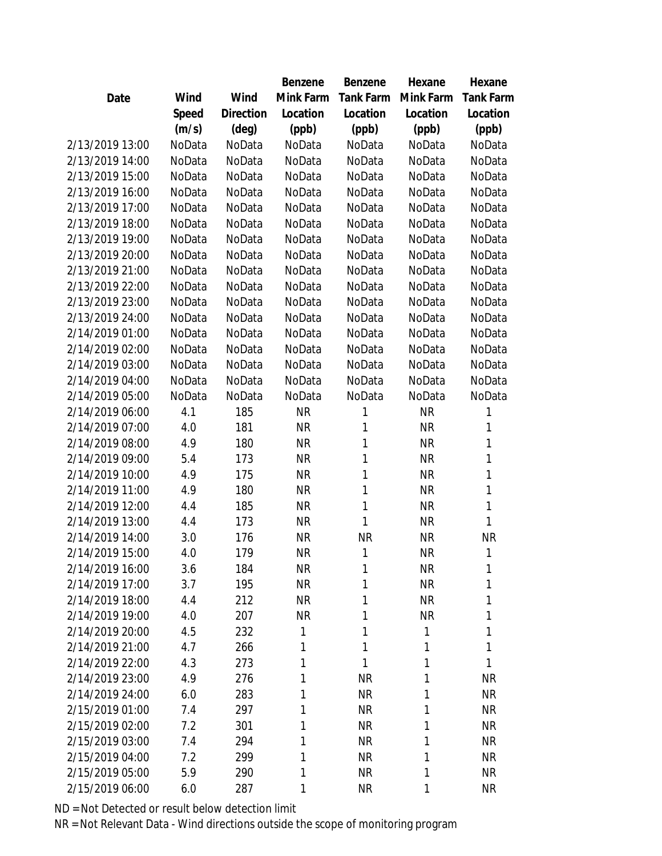|                 |        |           | Benzene   | <b>Benzene</b> | Hexane    | Hexane           |
|-----------------|--------|-----------|-----------|----------------|-----------|------------------|
| Date            | Wind   | Wind      | Mink Farm | Tank Farm      | Mink Farm | <b>Tank Farm</b> |
|                 | Speed  | Direction | Location  | Location       | Location  | Location         |
|                 | (m/s)  | (deg)     | (ppb)     | (ppb)          | (ppb)     | (ppb)            |
| 2/13/2019 13:00 | NoData | NoData    | NoData    | NoData         | NoData    | NoData           |
| 2/13/2019 14:00 | NoData | NoData    | NoData    | NoData         | NoData    | NoData           |
| 2/13/2019 15:00 | NoData | NoData    | NoData    | NoData         | NoData    | NoData           |
| 2/13/2019 16:00 | NoData | NoData    | NoData    | NoData         | NoData    | NoData           |
| 2/13/2019 17:00 | NoData | NoData    | NoData    | NoData         | NoData    | NoData           |
| 2/13/2019 18:00 | NoData | NoData    | NoData    | NoData         | NoData    | NoData           |
| 2/13/2019 19:00 | NoData | NoData    | NoData    | NoData         | NoData    | NoData           |
| 2/13/2019 20:00 | NoData | NoData    | NoData    | NoData         | NoData    | NoData           |
| 2/13/2019 21:00 | NoData | NoData    | NoData    | NoData         | NoData    | NoData           |
| 2/13/2019 22:00 | NoData | NoData    | NoData    | NoData         | NoData    | NoData           |
| 2/13/2019 23:00 | NoData | NoData    | NoData    | NoData         | NoData    | NoData           |
| 2/13/2019 24:00 | NoData | NoData    | NoData    | NoData         | NoData    | NoData           |
| 2/14/2019 01:00 | NoData | NoData    | NoData    | NoData         | NoData    | NoData           |
| 2/14/2019 02:00 | NoData | NoData    | NoData    | NoData         | NoData    | NoData           |
| 2/14/2019 03:00 | NoData | NoData    | NoData    | NoData         | NoData    | NoData           |
| 2/14/2019 04:00 | NoData | NoData    | NoData    | NoData         | NoData    | NoData           |
| 2/14/2019 05:00 | NoData | NoData    | NoData    | NoData         | NoData    | NoData           |
| 2/14/2019 06:00 | 4.1    | 185       | <b>NR</b> | 1              | <b>NR</b> | 1                |
| 2/14/2019 07:00 | 4.0    | 181       | <b>NR</b> | 1              | <b>NR</b> | 1                |
| 2/14/2019 08:00 | 4.9    | 180       | <b>NR</b> | 1              | <b>NR</b> | 1                |
| 2/14/2019 09:00 | 5.4    | 173       | <b>NR</b> | 1              | <b>NR</b> | 1                |
| 2/14/2019 10:00 | 4.9    | 175       | <b>NR</b> | 1              | <b>NR</b> | 1                |
| 2/14/2019 11:00 | 4.9    | 180       | <b>NR</b> | 1              | <b>NR</b> | 1                |
| 2/14/2019 12:00 | 4.4    | 185       | <b>NR</b> | 1              | <b>NR</b> | 1                |
| 2/14/2019 13:00 | 4.4    | 173       | <b>NR</b> | 1              | <b>NR</b> | 1                |
| 2/14/2019 14:00 | 3.0    | 176       | <b>NR</b> | <b>NR</b>      | <b>NR</b> | <b>NR</b>        |
| 2/14/2019 15:00 | 4.0    | 179       | <b>NR</b> | 1              | <b>NR</b> | 1                |
| 2/14/2019 16:00 | 3.6    | 184       | <b>NR</b> | 1              | <b>NR</b> | 1                |
| 2/14/2019 17:00 | 3.7    | 195       | <b>NR</b> | 1              | <b>NR</b> | 1                |
| 2/14/2019 18:00 | 4.4    | 212       | <b>NR</b> | 1              | <b>NR</b> | 1                |
| 2/14/2019 19:00 | 4.0    | 207       | <b>NR</b> | 1              | <b>NR</b> | 1                |
| 2/14/2019 20:00 | 4.5    | 232       | 1         | 1              | 1         | 1                |
| 2/14/2019 21:00 | 4.7    | 266       | 1         | 1              | 1         | 1                |
| 2/14/2019 22:00 | 4.3    | 273       | 1         | 1              | 1         | 1                |
| 2/14/2019 23:00 | 4.9    | 276       | 1         | <b>NR</b>      | 1         | <b>NR</b>        |
| 2/14/2019 24:00 | 6.0    | 283       | 1         | <b>NR</b>      | 1         | <b>NR</b>        |
| 2/15/2019 01:00 | 7.4    | 297       | 1         | <b>NR</b>      | 1         | <b>NR</b>        |
| 2/15/2019 02:00 | 7.2    | 301       | 1         | <b>NR</b>      | 1         | <b>NR</b>        |
| 2/15/2019 03:00 | 7.4    | 294       | 1         | <b>NR</b>      | 1         | <b>NR</b>        |
| 2/15/2019 04:00 | 7.2    | 299       | 1         | <b>NR</b>      | 1         | NR.              |
| 2/15/2019 05:00 | 5.9    | 290       | 1         | <b>NR</b>      | 1         | <b>NR</b>        |
| 2/15/2019 06:00 | 6.0    | 287       | 1         | <b>NR</b>      | 1         | <b>NR</b>        |